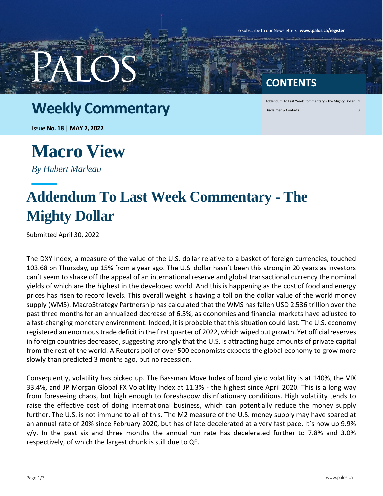To subscribe to our Newsletters **www.palos.ca/register**

#### **CONTENTS**

### **Weekly Commentary**

Addendum To Last Week Commentary - The Mighty Dollar 1 Disclaimer & Contacts 3

Issue **No. 18** | **MAY 2, 2022**

## **Macro View**

*By Hubert Marleau*

### **Addendum To Last Week Commentary - The Mighty Dollar**

Submitted April 30, 2022

The DXY Index, a measure of the value of the U.S. dollar relative to a basket of foreign currencies, touched 103.68 on Thursday, up 15% from a year ago. The U.S. dollar hasn't been this strong in 20 years as investors can't seem to shake off the appeal of an international reserve and global transactional currency the nominal yields of which are the highest in the developed world. And this is happening as the cost of food and energy prices has risen to record levels. This overall weight is having a toll on the dollar value of the world money supply (WMS). MacroStrategy Partnership has calculated that the WMS has fallen USD 2.536 trillion over the past three months for an annualized decrease of 6.5%, as economies and financial markets have adjusted to a fast-changing monetary environment. Indeed, it is probable that this situation could last. The U.S. economy registered an enormous trade deficit in the first quarter of 2022, which wiped out growth. Yet official reserves in foreign countries decreased, suggesting strongly that the U.S. is attracting huge amounts of private capital from the rest of the world. A Reuters poll of over 500 economists expects the global economy to grow more slowly than predicted 3 months ago, but no recession.

Consequently, volatility has picked up. The Bassman Move Index of bond yield volatility is at 140%, the VIX 33.4%, and JP Morgan Global FX Volatility Index at 11.3% - the highest since April 2020. This is a long way from foreseeing chaos, but high enough to foreshadow disinflationary conditions. High volatility tends to raise the effective cost of doing international business, which can potentially reduce the money supply further. The U.S. is not immune to all of this. The M2 measure of the U.S. money supply may have soared at an annual rate of 20% since February 2020, but has of late decelerated at a very fast pace. It's now up 9.9%  $y/y$ . In the past six and three months the annual run rate has decelerated further to 7.8% and 3.0% respectively, of which the largest chunk is still due to QE.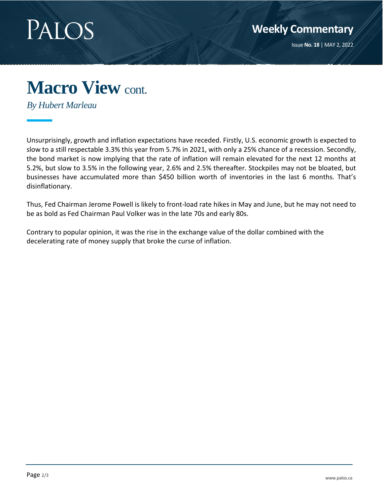

### **Macro View** cont.

*By Hubert Marleau*

Unsurprisingly, growth and inflation expectations have receded. Firstly, U.S. economic growth is expected to slow to a still respectable 3.3% this year from 5.7% in 2021, with only a 25% chance of a recession. Secondly, the bond market is now implying that the rate of inflation will remain elevated for the next 12 months at 5.2%, but slow to 3.5% in the following year, 2.6% and 2.5% thereafter. Stockpiles may not be bloated, but businesses have accumulated more than \$450 billion worth of inventories in the last 6 months. That's disinflationary.

Thus, Fed Chairman Jerome Powell is likely to front-load rate hikes in May and June, but he may not need to be as bold as Fed Chairman Paul Volker was in the late 70s and early 80s.

Contrary to popular opinion, it was the rise in the exchange value of the dollar combined with the decelerating rate of money supply that broke the curse of inflation.